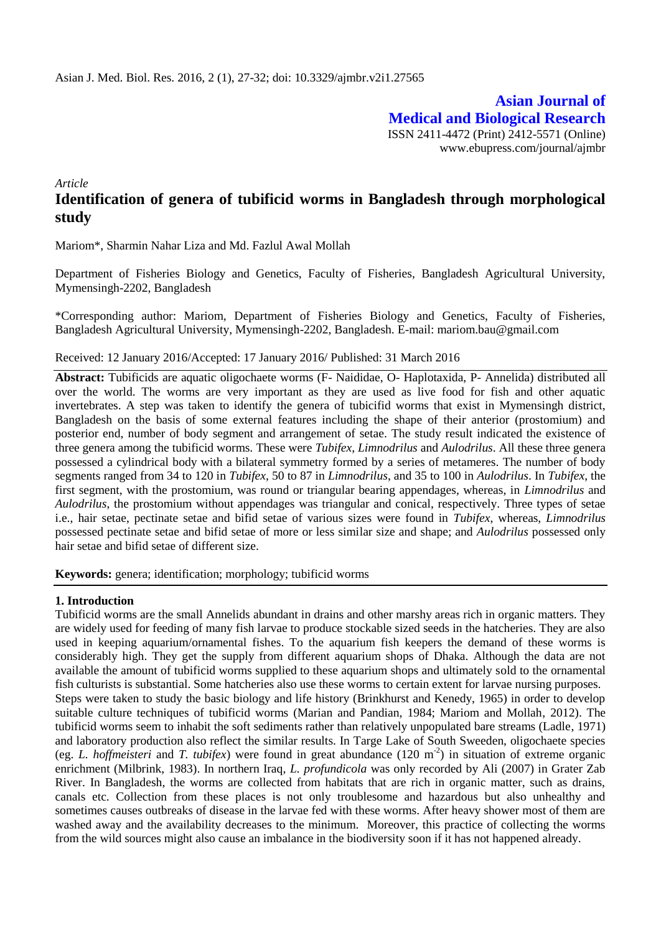**Asian Journal of Medical and Biological Research** ISSN 2411-4472 (Print) 2412-5571 (Online) www.ebupress.com/journal/ajmbr

*Article*

# **Identification of genera of tubificid worms in Bangladesh through morphological study**

Mariom\*, Sharmin Nahar Liza and Md. Fazlul Awal Mollah

Department of Fisheries Biology and Genetics, Faculty of Fisheries, Bangladesh Agricultural University, Mymensingh-2202, Bangladesh

\*Corresponding author: Mariom, Department of Fisheries Biology and Genetics, Faculty of Fisheries, Bangladesh Agricultural University, Mymensingh-2202, Bangladesh. E-mail: mariom.bau@gmail.com

Received: 12 January 2016/Accepted: 17 January 2016/ Published: 31 March 2016

**Abstract:** Tubificids are aquatic oligochaete worms (F- Naididae, O- Haplotaxida, P- Annelida) distributed all over the world. The worms are very important as they are used as live food for fish and other aquatic invertebrates. A step was taken to identify the genera of tubicifid worms that exist in Mymensingh district, Bangladesh on the basis of some external features including the shape of their anterior (prostomium) and posterior end, number of body segment and arrangement of setae. The study result indicated the existence of three genera among the tubificid worms. These were *Tubifex*, *Limnodrilus* and *Aulodrilus*. All these three genera possessed a cylindrical body with a bilateral symmetry formed by a series of metameres. The number of body segments ranged from 34 to 120 in *Tubifex*, 50 to 87 in *Limnodrilus*, and 35 to 100 in *Aulodrilus*. In *Tubifex*, the first segment, with the prostomium, was round or triangular bearing appendages, whereas, in *Limnodrilus* and *Aulodrilus*, the prostomium without appendages was triangular and conical, respectively. Three types of setae i.e., hair setae, pectinate setae and bifid setae of various sizes were found in *Tubifex*, whereas, *Limnodrilus* possessed pectinate setae and bifid setae of more or less similar size and shape; and *Aulodrilus* possessed only hair setae and bifid setae of different size.

**Keywords:** genera; identification; morphology; tubificid worms

# **1. Introduction**

Tubificid worms are the small Annelids abundant in drains and other marshy areas rich in organic matters. They are widely used for feeding of many fish larvae to produce stockable sized seeds in the hatcheries. They are also used in keeping aquarium/ornamental fishes. To the aquarium fish keepers the demand of these worms is considerably high. They get the supply from different aquarium shops of Dhaka. Although the data are not available the amount of tubificid worms supplied to these aquarium shops and ultimately sold to the ornamental fish culturists is substantial. Some hatcheries also use these worms to certain extent for larvae nursing purposes. Steps were taken to study the basic biology and life history (Brinkhurst and Kenedy, 1965) in order to develop suitable culture techniques of tubificid worms (Marian and Pandian, 1984; Mariom and Mollah, 2012). The tubificid worms seem to inhabit the soft sediments rather than relatively unpopulated bare streams (Ladle, 1971) and laboratory production also reflect the similar results. In Targe Lake of South Sweeden, oligochaete species (eg. *L. hoffmeisteri* and *T. tubifex*) were found in great abundance (120 m<sup>-2</sup>) in situation of extreme organic enrichment (Milbrink, 1983). In northern Iraq, *L. profundicola* was only recorded by Ali (2007) in Grater Zab River. In Bangladesh, the worms are collected from habitats that are rich in organic matter, such as drains, canals etc. Collection from these places is not only troublesome and hazardous but also unhealthy and sometimes causes outbreaks of disease in the larvae fed with these worms. After heavy shower most of them are washed away and the availability decreases to the minimum. Moreover, this practice of collecting the worms from the wild sources might also cause an imbalance in the biodiversity soon if it has not happened already.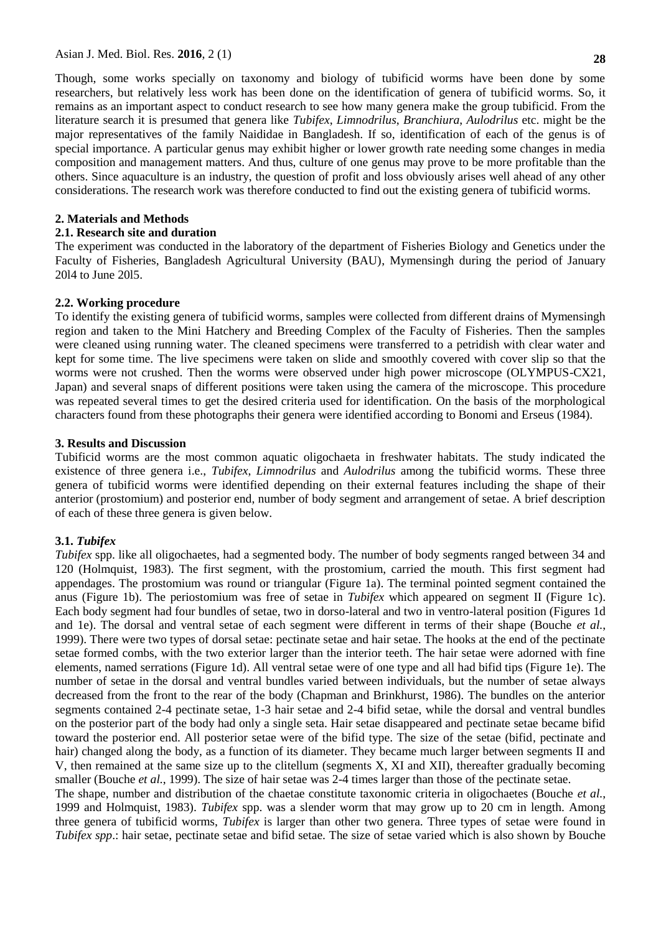Though, some works specially on taxonomy and biology of tubificid worms have been done by some researchers, but relatively less work has been done on the identification of genera of tubificid worms. So, it remains as an important aspect to conduct research to see how many genera make the group tubificid. From the literature search it is presumed that genera like *Tubifex*, *Limnodrilus*, *Branchiura*, *Aulodrilus* etc. might be the major representatives of the family Naididae in Bangladesh. If so, identification of each of the genus is of special importance. A particular genus may exhibit higher or lower growth rate needing some changes in media composition and management matters. And thus, culture of one genus may prove to be more profitable than the others. Since aquaculture is an industry, the question of profit and loss obviously arises well ahead of any other considerations. The research work was therefore conducted to find out the existing genera of tubificid worms.

#### **2. Materials and Methods**

#### **2.1. Research site and duration**

The experiment was conducted in the laboratory of the department of Fisheries Biology and Genetics under the Faculty of Fisheries, Bangladesh Agricultural University (BAU), Mymensingh during the period of January 20l4 to June 20l5.

#### **2.2. Working procedure**

To identify the existing genera of tubificid worms, samples were collected from different drains of Mymensingh region and taken to the Mini Hatchery and Breeding Complex of the Faculty of Fisheries. Then the samples were cleaned using running water. The cleaned specimens were transferred to a petridish with clear water and kept for some time. The live specimens were taken on slide and smoothly covered with cover slip so that the worms were not crushed. Then the worms were observed under high power microscope (OLYMPUS-CX21, Japan) and several snaps of different positions were taken using the camera of the microscope. This procedure was repeated several times to get the desired criteria used for identification. On the basis of the morphological characters found from these photographs their genera were identified according to Bonomi and Erseus (1984).

### **3. Results and Discussion**

Tubificid worms are the most common aquatic oligochaeta in freshwater habitats. The study indicated the existence of three genera i.e., *Tubifex*, *Limnodrilus* and *Aulodrilus* among the tubificid worms. These three genera of tubificid worms were identified depending on their external features including the shape of their anterior (prostomium) and posterior end, number of body segment and arrangement of setae. A brief description of each of these three genera is given below.

#### **3.1.** *Tubifex*

*Tubifex* spp. like all oligochaetes, had a segmented body. The number of body segments ranged between 34 and 120 (Holmquist, 1983). The first segment, with the prostomium, carried the mouth. This first segment had appendages. The prostomium was round or triangular (Figure 1a). The terminal pointed segment contained the anus (Figure 1b). The periostomium was free of setae in *Tubifex* which appeared on segment II (Figure 1c). Each body segment had four bundles of setae, two in dorso-lateral and two in ventro-lateral position (Figures 1d and 1e). The dorsal and ventral setae of each segment were different in terms of their shape (Bouche *et al.*, 1999). There were two types of dorsal setae: pectinate setae and hair setae. The hooks at the end of the pectinate setae formed combs, with the two exterior larger than the interior teeth. The hair setae were adorned with fine elements, named serrations (Figure 1d). All ventral setae were of one type and all had bifid tips (Figure 1e). The number of setae in the dorsal and ventral bundles varied between individuals, but the number of setae always decreased from the front to the rear of the body (Chapman and Brinkhurst, 1986). The bundles on the anterior segments contained 2-4 pectinate setae, 1-3 hair setae and 2-4 bifid setae, while the dorsal and ventral bundles on the posterior part of the body had only a single seta. Hair setae disappeared and pectinate setae became bifid toward the posterior end. All posterior setae were of the bifid type. The size of the setae (bifid, pectinate and hair) changed along the body, as a function of its diameter. They became much larger between segments II and V, then remained at the same size up to the clitellum (segments X, XI and XII), thereafter gradually becoming smaller (Bouche *et al.*, 1999). The size of hair setae was 2-4 times larger than those of the pectinate setae.

The shape, number and distribution of the chaetae constitute taxonomic criteria in oligochaetes (Bouche *et al.*, 1999 and Holmquist, 1983). *Tubifex* spp. was a slender worm that may grow up to 20 cm in length. Among three genera of tubificid worms, *Tubifex* is larger than other two genera. Three types of setae were found in *Tubifex spp*.: hair setae, pectinate setae and bifid setae. The size of setae varied which is also shown by Bouche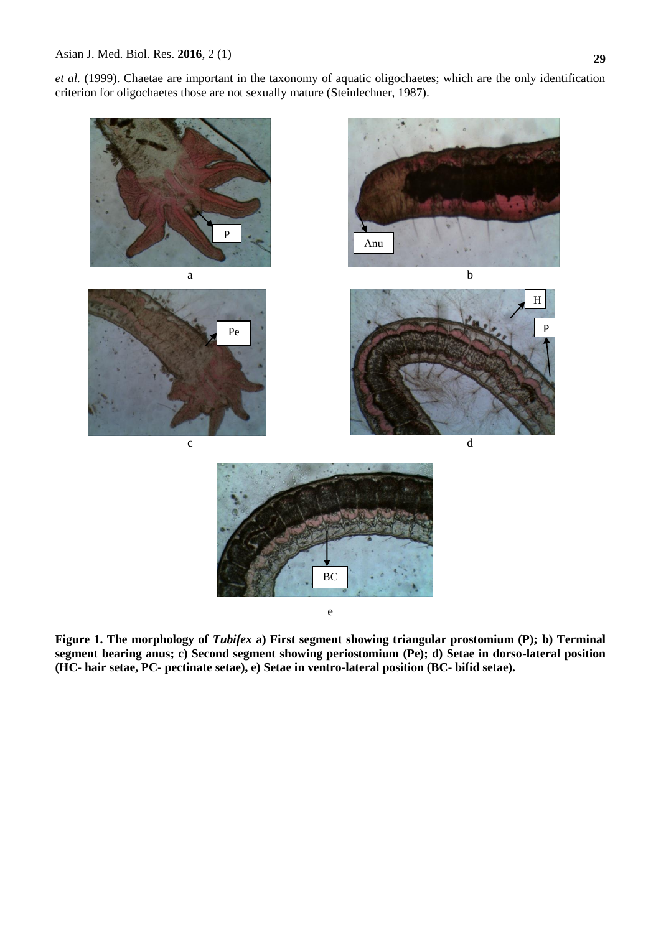*et al.* (1999). Chaetae are important in the taxonomy of aquatic oligochaetes; which are the only identification criterion for oligochaetes those are not sexually mature (Steinlechner, 1987).



**Figure 1. The morphology of** *Tubifex* **a) First segment showing triangular prostomium (P); b) Terminal segment bearing anus; c) Second segment showing periostomium (Pe); d) Setae in dorso-lateral position (HC- hair setae, PC- pectinate setae), e) Setae in ventro-lateral position (BC- bifid setae).**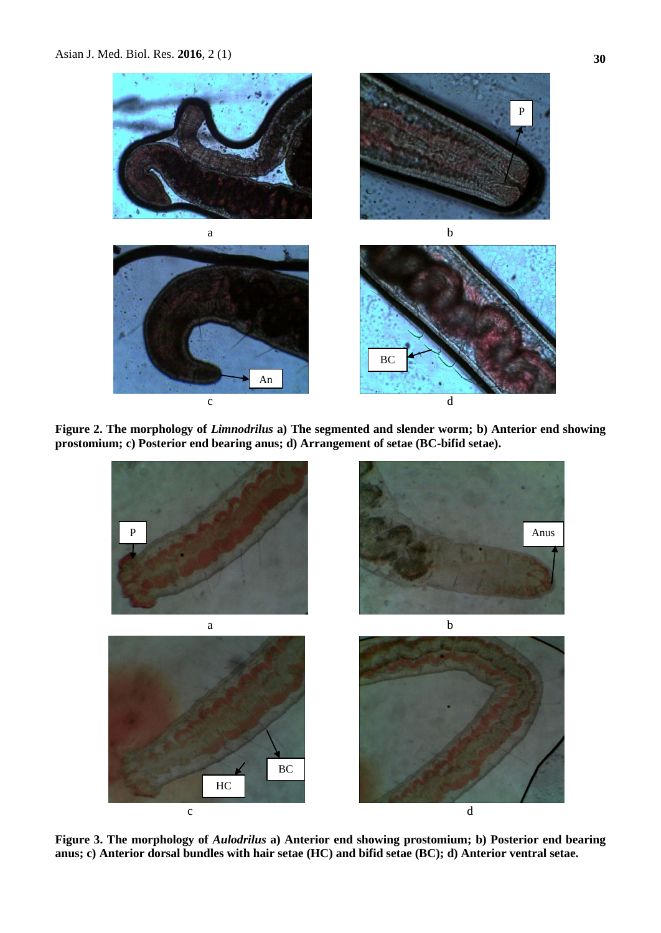

**Figure 2. The morphology of** *Limnodrilus* **a) The segmented and slender worm; b) Anterior end showing prostomium; c) Posterior end bearing anus; d) Arrangement of setae (BC-bifid setae).**



**Figure 3. The morphology of** *Aulodrilus* **a) Anterior end showing prostomium; b) Posterior end bearing anus; c) Anterior dorsal bundles with hair setae (HC) and bifid setae (BC); d) Anterior ventral setae.**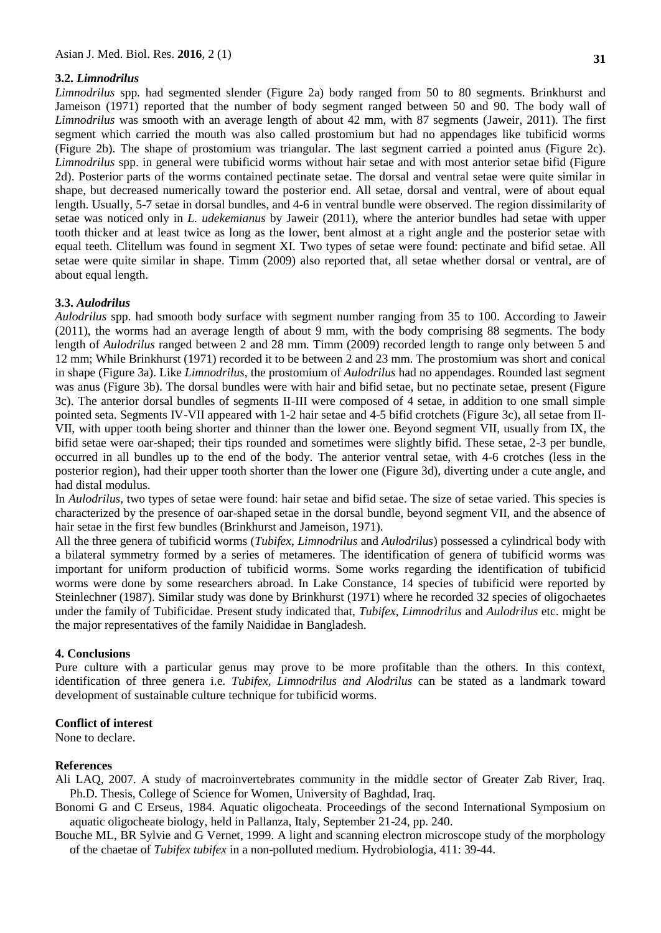**31**

# **3.2.** *Limnodrilus*

*Limnodrilus* spp*.* had segmented slender (Figure 2a) body ranged from 50 to 80 segments. Brinkhurst and Jameison (1971) reported that the number of body segment ranged between 50 and 90. The body wall of *Limnodrilus* was smooth with an average length of about 42 mm, with 87 segments (Jaweir, 2011). The first segment which carried the mouth was also called prostomium but had no appendages like tubificid worms (Figure 2b). The shape of prostomium was triangular. The last segment carried a pointed anus (Figure 2c). *Limnodrilus* spp. in general were tubificid worms without hair setae and with most anterior setae bifid (Figure 2d). Posterior parts of the worms contained pectinate setae. The dorsal and ventral setae were quite similar in shape, but decreased numerically toward the posterior end. All setae, dorsal and ventral, were of about equal length. Usually, 5-7 setae in dorsal bundles, and 4-6 in ventral bundle were observed. The region dissimilarity of setae was noticed only in *L. udekemianus* by Jaweir (2011), where the anterior bundles had setae with upper tooth thicker and at least twice as long as the lower, bent almost at a right angle and the posterior setae with equal teeth. Clitellum was found in segment XI. Two types of setae were found: pectinate and bifid setae. All setae were quite similar in shape. Timm (2009) also reported that, all setae whether dorsal or ventral, are of about equal length.

# **3.3.** *Aulodrilus*

*Aulodrilus* spp. had smooth body surface with segment number ranging from 35 to 100. According to Jaweir (2011), the worms had an average length of about 9 mm, with the body comprising 88 segments. The body length of *Aulodrilus* ranged between 2 and 28 mm. Timm (2009) recorded length to range only between 5 and 12 mm; While Brinkhurst (1971) recorded it to be between 2 and 23 mm. The prostomium was short and conical in shape (Figure 3a). Like *Limnodrilus*, the prostomium of *Aulodrilus* had no appendages. Rounded last segment was anus (Figure 3b). The dorsal bundles were with hair and bifid setae, but no pectinate setae, present (Figure 3c). The anterior dorsal bundles of segments II-III were composed of 4 setae, in addition to one small simple pointed seta. Segments IV-VII appeared with 1-2 hair setae and 4-5 bifid crotchets (Figure 3c), all setae from II-VII, with upper tooth being shorter and thinner than the lower one. Beyond segment VII, usually from IX, the bifid setae were oar-shaped; their tips rounded and sometimes were slightly bifid. These setae, 2-3 per bundle, occurred in all bundles up to the end of the body. The anterior ventral setae, with 4-6 crotches (less in the posterior region), had their upper tooth shorter than the lower one (Figure 3d), diverting under a cute angle, and had distal modulus.

In *Aulodrilus*, two types of setae were found: hair setae and bifid setae. The size of setae varied. This species is characterized by the presence of oar-shaped setae in the dorsal bundle, beyond segment VII, and the absence of hair setae in the first few bundles (Brinkhurst and Jameison, 1971).

All the three genera of tubificid worms (*Tubifex*, *Limnodrilus* and *Aulodrilus*) possessed a cylindrical body with a bilateral symmetry formed by a series of metameres. The identification of genera of tubificid worms was important for uniform production of tubificid worms. Some works regarding the identification of tubificid worms were done by some researchers abroad. In Lake Constance, 14 species of tubificid were reported by Steinlechner (1987). Similar study was done by Brinkhurst (1971) where he recorded 32 species of oligochaetes under the family of Tubificidae. Present study indicated that, *Tubifex*, *Limnodrilus* and *Aulodrilus* etc. might be the major representatives of the family Naididae in Bangladesh.

# **4. Conclusions**

Pure culture with a particular genus may prove to be more profitable than the others. In this context, identification of three genera i.e. *Tubifex, Limnodrilus and Alodrilus* can be stated as a landmark toward development of sustainable culture technique for tubificid worms.

# **Conflict of interest**

None to declare.

# **References**

- Ali LAQ, 2007. A study of macroinvertebrates community in the middle sector of Greater Zab River, Iraq. Ph.D. Thesis, College of Science for Women, University of Baghdad, Iraq.
- Bonomi G and C Erseus, 1984. Aquatic oligocheata. Proceedings of the second International Symposium on aquatic oligocheate biology, held in Pallanza, Italy, September 21-24, pp. 240.
- Bouche ML, BR Sylvie and G Vernet, 1999. A light and scanning electron microscope study of the morphology of the chaetae of *Tubifex tubifex* in a non-polluted medium. Hydrobiologia, 411: 39-44.